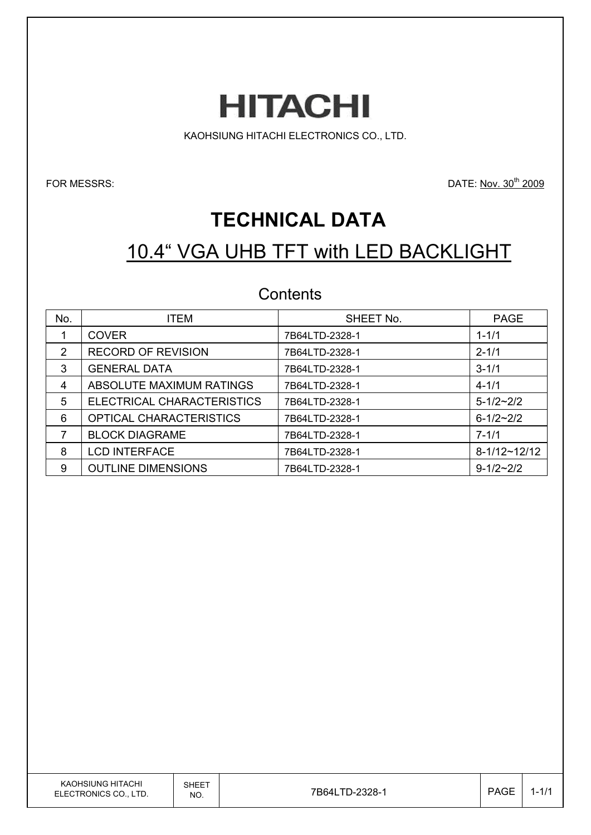

KAOHSIUNG HITACHI ELECTRONICS CO., LTD.

FOR MESSRS: DATE: Nov. 30<sup>th</sup> 2009

# **TECHNICAL DATA**

# 10.4" VGA UHB TFT with LED BACKLIGHT

### **Contents**

| No. | <b>ITEM</b>                    | SHEET No.      | <b>PAGE</b>     |
|-----|--------------------------------|----------------|-----------------|
|     | <b>COVER</b>                   | 7B64LTD-2328-1 | $1 - 1/1$       |
| 2   | <b>RECORD OF REVISION</b>      | 7B64LTD-2328-1 | $2 - 1/1$       |
| 3   | <b>GENERAL DATA</b>            | 7B64LTD-2328-1 | $3 - 1/1$       |
| 4   | ABSOLUTE MAXIMUM RATINGS       | 7B64LTD-2328-1 | $4 - 1/1$       |
| 5   | ELECTRICAL CHARACTERISTICS     | 7B64LTD-2328-1 | $5 - 1/2 - 2/2$ |
| 6   | <b>OPTICAL CHARACTERISTICS</b> | 7B64LTD-2328-1 | $6 - 1/2 - 2/2$ |
|     | <b>BLOCK DIAGRAME</b>          | 7B64LTD-2328-1 | $7 - 1/1$       |
| 8   | <b>LCD INTERFACE</b>           | 7B64LTD-2328-1 | $8-1/12-12/12$  |
| 9   | <b>OUTLINE DIMENSIONS</b>      | 7B64LTD-2328-1 | $9 - 1/2 - 2/2$ |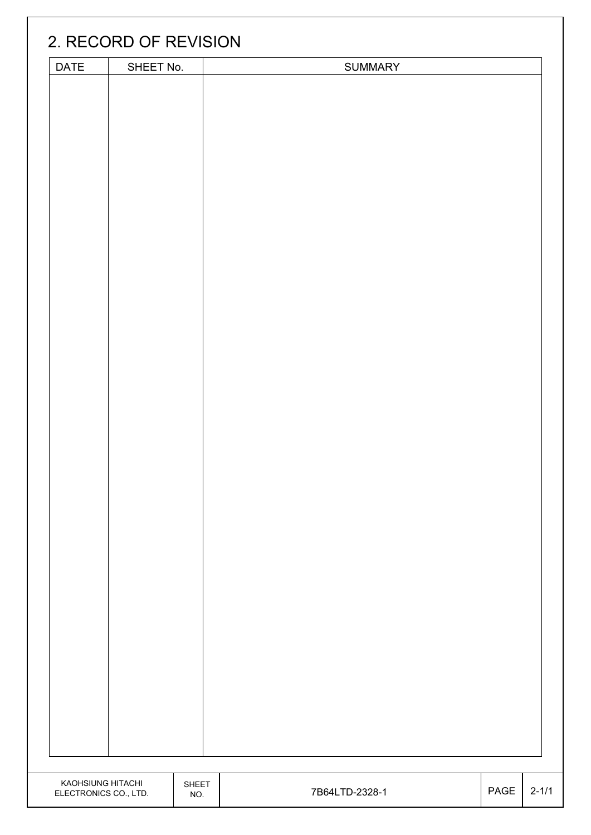|                                            | 2. RECORD OF REVISION |                     |                |      |           |
|--------------------------------------------|-----------------------|---------------------|----------------|------|-----------|
| DATE                                       | SHEET No.             |                     | <b>SUMMARY</b> |      |           |
|                                            |                       |                     |                |      |           |
|                                            |                       |                     |                |      |           |
|                                            |                       |                     |                |      |           |
|                                            |                       |                     |                |      |           |
|                                            |                       |                     |                |      |           |
|                                            |                       |                     |                |      |           |
| KAOHSIUNG HITACHI<br>ELECTRONICS CO., LTD. |                       | <b>SHEET</b><br>NO. | 7B64LTD-2328-1 | PAGE | $2 - 1/1$ |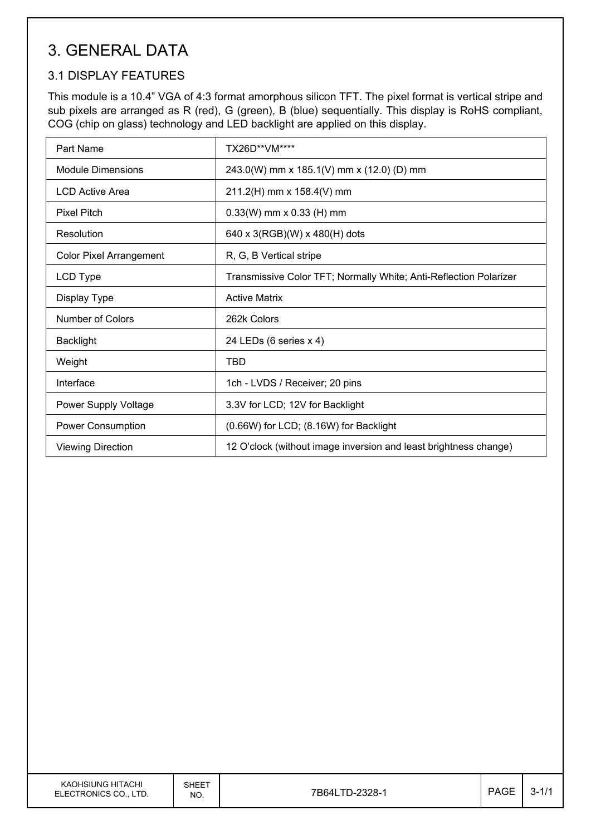## 3. GENERAL DATA

### 3.1 DISPLAY FEATURES

This module is a 10.4" VGA of 4:3 format amorphous silicon TFT. The pixel format is vertical stripe and sub pixels are arranged as R (red), G (green), B (blue) sequentially. This display is RoHS compliant, COG (chip on glass) technology and LED backlight are applied on this display.

| Part Name                      | TX26D**VM****                                                     |
|--------------------------------|-------------------------------------------------------------------|
| Module Dimensions              | 243.0(W) mm x 185.1(V) mm x (12.0) (D) mm                         |
| LCD Active Area                | 211.2(H) mm x 158.4(V) mm                                         |
| <b>Pixel Pitch</b>             | $0.33(W)$ mm x 0.33 (H) mm                                        |
| Resolution                     | 640 x 3(RGB)(W) x 480(H) dots                                     |
| <b>Color Pixel Arrangement</b> | R, G, B Vertical stripe                                           |
| LCD Type                       | Transmissive Color TFT; Normally White; Anti-Reflection Polarizer |
| Display Type                   | <b>Active Matrix</b>                                              |
| Number of Colors               | 262k Colors                                                       |
| <b>Backlight</b>               | 24 LEDs (6 series x 4)                                            |
| Weight                         | TBD                                                               |
| Interface                      | 1ch - LVDS / Receiver; 20 pins                                    |
| Power Supply Voltage           | 3.3V for LCD; 12V for Backlight                                   |
| <b>Power Consumption</b>       | (0.66W) for LCD; (8.16W) for Backlight                            |
| <b>Viewing Direction</b>       | 12 O'clock (without image inversion and least brightness change)  |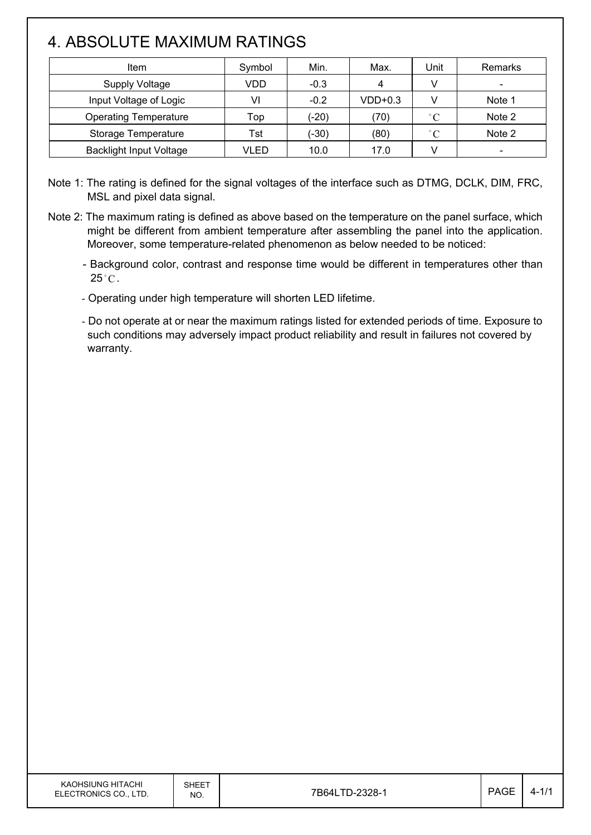## 4. ABSOLUTE MAXIMUM RATINGS

| Item                           | Symbol | Min.    | Max.      | Unit         | Remarks                  |
|--------------------------------|--------|---------|-----------|--------------|--------------------------|
| Supply Voltage                 | VDD    | $-0.3$  | 4         |              | $\overline{\phantom{0}}$ |
| Input Voltage of Logic         | VI     | $-0.2$  | $VDD+0.3$ |              | Note 1                   |
| <b>Operating Temperature</b>   | Top    | $(-20)$ | (70)      | $^{\circ}$ C | Note 2                   |
| Storage Temperature            | Tst    | (-30)   | (80)      | $^{\circ}$ C | Note 2                   |
| <b>Backlight Input Voltage</b> | VLED   | 10.0    | 17.0      |              |                          |

Note 1: The rating is defined for the signal voltages of the interface such as DTMG, DCLK, DIM, FRC, MSL and pixel data signal.

Note 2: The maximum rating is defined as above based on the temperature on the panel surface, which might be different from ambient temperature after assembling the panel into the application. Moreover, some temperature-related phenomenon as below needed to be noticed:

- Background color, contrast and response time would be different in temperatures other than  $25^{\circ}$ C.

- Operating under high temperature will shorten LED lifetime.

- Do not operate at or near the maximum ratings listed for extended periods of time. Exposure to such conditions may adversely impact product reliability and result in failures not covered by warranty.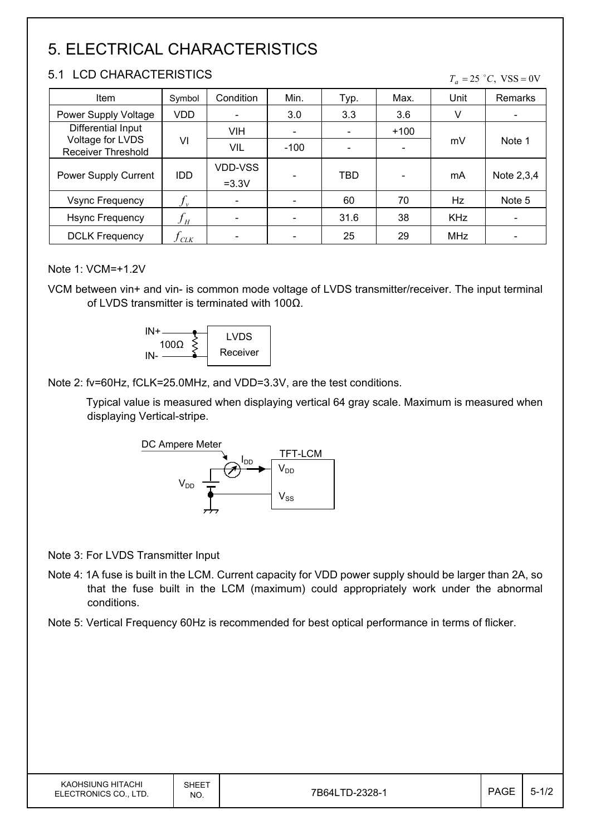# 5. ELECTRICAL CHARACTERISTICS

#### 5.1 LCD CHARACTERISTICS

#### $T_a = 25$  °C, VSS = 0V

| Item                                          | Symbol                     | Condition          | Min.   | Typ. | Max.   | Unit       | Remarks    |
|-----------------------------------------------|----------------------------|--------------------|--------|------|--------|------------|------------|
| Power Supply Voltage                          | <b>VDD</b>                 |                    | 3.0    | 3.3  | 3.6    | V          |            |
| Differential Input                            |                            | VIH                |        |      | $+100$ |            |            |
| Voltage for LVDS<br><b>Receiver Threshold</b> | VI                         | <b>VIL</b>         | $-100$ |      |        | mV         | Note 1     |
| <b>Power Supply Current</b>                   | <b>IDD</b>                 | VDD-VSS<br>$=3.3V$ |        | TBD  |        | mA         | Note 2,3,4 |
| <b>Vsync Frequency</b>                        | $f_{\rm v}$                |                    |        | 60   | 70     | Hz         | Note 5     |
| <b>Hsync Frequency</b>                        | $f_{\scriptscriptstyle H}$ |                    |        | 31.6 | 38     | <b>KHz</b> |            |
| <b>DCLK Frequency</b>                         | CLK                        |                    |        | 25   | 29     | MHz        |            |

#### Note 1: VCM=+1.2V

VCM between vin+ and vin- is common mode voltage of LVDS transmitter/receiver. The input terminal of LVDS transmitter is terminated with 100 $\Omega$ .



Note 2: fv=60Hz, fCLK=25.0MHz, and VDD=3.3V, are the test conditions.

Typical value is measured when displaying vertical 64 gray scale. Maximum is measured when displaying Vertical-stripe.



Note 3: For LVDS Transmitter Input

- Note 4: 1A fuse is built in the LCM. Current capacity for VDD power supply should be larger than 2A, so that the fuse built in the LCM (maximum) could appropriately work under the abnormal conditions.
- Note 5: Vertical Frequency 60Hz is recommended for best optical performance in terms of flicker.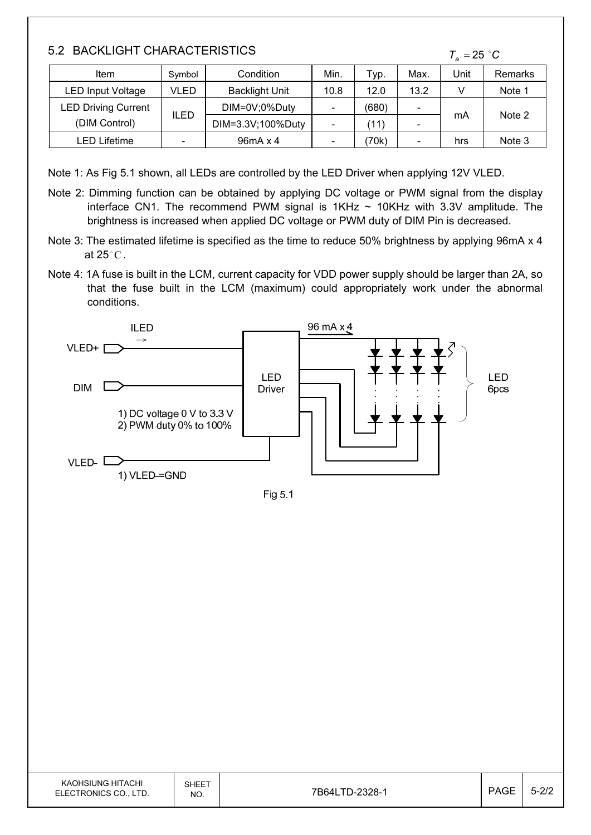### 5.2 BACKLIGHT CHARACTERISTICS

 $T_a = 25$  °C

| Item                       | Symbol                   | Condition             | Min.                     | Typ.  | Max.                     | Unit | Remarks |
|----------------------------|--------------------------|-----------------------|--------------------------|-------|--------------------------|------|---------|
| <b>LED Input Voltage</b>   | VLED                     | <b>Backlight Unit</b> | 10.8                     | 12.0  | 13.2                     |      | Note 1  |
| <b>LED Driving Current</b> |                          | DIM=0V;0%Duty         | $\overline{\phantom{0}}$ | (680) | $\overline{\phantom{0}}$ |      | Note 2  |
| (DIM Control)              | <b>ILED</b>              | DIM=3.3V;100%Duty     |                          | (11)  | $\overline{\phantom{a}}$ | mA   |         |
| _ED Lifetime               | $\overline{\phantom{0}}$ | 96mA x 4              |                          | 70k)  |                          | hrs  | Note 3  |

Note 1: As Fig 5.1 shown, all LEDs are controlled by the LED Driver when applying 12V VLED.

- Note 2: Dimming function can be obtained by applying DC voltage or PWM signal from the display interface CN1. The recommend PWM signal is  $1KHz \sim 10KHz$  with 3.3V amplitude. The brightness is increased when applied DC voltage or PWM duty of DIM Pin is decreased.
- Note 3: The estimated lifetime is specified as the time to reduce 50% brightness by applying 96mA x 4 at 25  $^{\circ}$  C .
- Note 4: 1A fuse is built in the LCM, current capacity for VDD power supply should be larger than 2A, so that the fuse built in the LCM (maximum) could appropriately work under the abnormal conditions.



Fig 5.1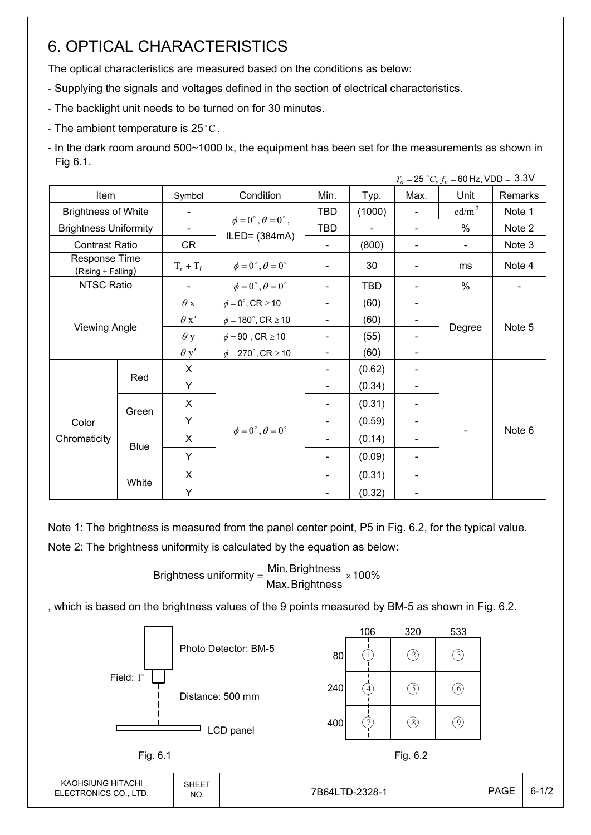### 6. OPTICAL CHARACTERISTICS

The optical characteristics are measured based on the conditions as below:

- Supplying the signals and voltages defined in the section of electrical characteristics.
- The backlight unit needs to be turned on for 30 minutes.
- The ambient temperature is 25 $^{\circ}$ C.
- In the dark room around 500~1000 lx, the equipment has been set for the measurements as shown in Fig 6.1.

|                                     |             |                          |                                          |                          |                          |                | $T_a = 25 °C$ , $f_v = 60$ Hz, VDD = 3.3V |         |
|-------------------------------------|-------------|--------------------------|------------------------------------------|--------------------------|--------------------------|----------------|-------------------------------------------|---------|
| Item                                |             | Symbol                   | Condition                                | Min.                     | Typ.                     | Max.           | Unit                                      | Remarks |
| <b>Brightness of White</b>          |             | $\overline{\phantom{a}}$ |                                          | <b>TBD</b>               | (1000)                   | $\blacksquare$ | cd/m <sup>2</sup>                         | Note 1  |
| <b>Brightness Uniformity</b>        |             | $\overline{\phantom{a}}$ | $\phi = 0^{\circ}, \theta = 0^{\circ}$ , | <b>TBD</b>               | $\overline{\phantom{a}}$ |                | $\%$                                      | Note 2  |
| <b>Contrast Ratio</b>               |             | CR                       | ILED= $(384mA)$                          | $\blacksquare$           | (800)                    | $\blacksquare$ | $\blacksquare$                            | Note 3  |
| Response Time<br>(Rising + Falling) |             | $T_r + T_f$              | $\phi = 0^{\circ}, \theta = 0^{\circ}$   |                          | 30                       |                | ms                                        | Note 4  |
| NTSC Ratio                          |             |                          | $\phi = 0^{\circ}, \theta = 0^{\circ}$   |                          | <b>TBD</b>               |                | %                                         |         |
|                                     |             | $\theta$ x               | $\phi = 0^\circ$ , CR $\geq 10$          |                          | (60)                     |                |                                           | Note 5  |
|                                     |             | $\theta x'$              | $\phi = 180^{\circ}$ , CR $\geq 10$      | $\overline{\phantom{a}}$ | (60)                     |                |                                           |         |
| <b>Viewing Angle</b>                |             | $\theta$ y               | $\phi = 90^{\circ}$ , CR $\geq 10$       | $\blacksquare$           | (55)                     |                | Degree                                    |         |
|                                     |             | $\theta$ y'              | $\phi = 270^\circ$ , CR $\geq 10$        | $\blacksquare$           | (60)                     |                |                                           |         |
|                                     |             | X                        |                                          | $\blacksquare$           | (0.62)                   |                |                                           |         |
|                                     | Red         | Y                        |                                          | $\blacksquare$           | (0.34)                   |                |                                           |         |
|                                     |             | X                        |                                          | $\blacksquare$           | (0.31)                   |                |                                           |         |
| Color                               | Green       | Y                        |                                          | $\overline{\phantom{a}}$ | (0.59)                   |                |                                           |         |
| Chromaticity                        |             | X                        | $\phi = 0^{\circ}, \theta = 0^{\circ}$   | $\blacksquare$           | (0.14)                   |                |                                           | Note 6  |
|                                     | <b>Blue</b> | Y                        |                                          | $\blacksquare$           | (0.09)                   |                |                                           |         |
|                                     |             | X                        |                                          |                          | (0.31)                   |                |                                           |         |
|                                     | White       | Y                        |                                          |                          | (0.32)                   |                |                                           |         |

Note 1: The brightness is measured from the panel center point, P5 in Fig. 6.2, for the typical value.

Note 2: The brightness uniformity is calculated by the equation as below:

Brightness uniformity  $=\frac{1}{2}$  is  $\frac{1}{2}$  in  $\frac{1}{2}$  in  $\frac{1}{2}$  is  $\frac{1}{2}$  in  $\frac{1}{2}$  in  $\frac{1}{2}$  is  $\frac{1}{2}$  in  $\frac{1}{2}$  in  $\frac{1}{2}$  is  $\frac{1}{2}$  in  $\frac{1}{2}$  in  $\frac{1}{2}$  is  $\frac{1}{2}$  in  $\frac{1}{2}$  in  $\frac{$ Max.Brightness Brightness uniformity =  $\frac{\text{Min.~Brightness}}{\text{max.~S}}$ 

, which is based on the brightness values of the 9 points measured by BM-5 as shown in Fig. 6.2.

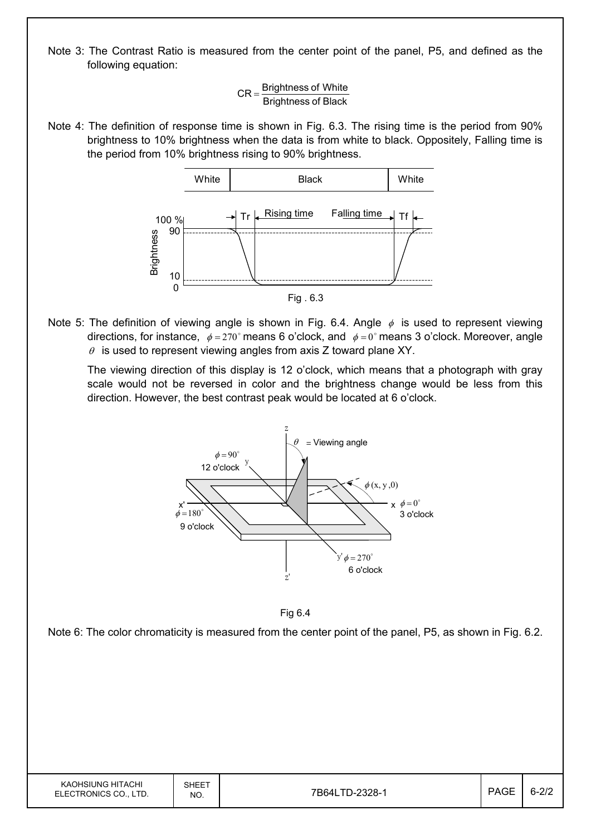Note 3: The Contrast Ratio is measured from the center point of the panel, P5, and defined as the following equation:

$$
CR = \frac{Brightness of White}{Brightness of Black}
$$

Note 4: The definition of response time is shown in Fig. 6.3. The rising time is the period from 90% brightness to 10% brightness when the data is from white to black. Oppositely, Falling time is the period from 10% brightness rising to 90% brightness.



Note 5: The definition of viewing angle is shown in Fig. 6.4. Angle  $\phi$  is used to represent viewing directions, for instance,  $\phi = 270^\circ$  means 6 o'clock, and  $\phi = 0^\circ$  means 3 o'clock. Moreover, angle  $\theta$  is used to represent viewing angles from axis Z toward plane XY.

 The viewing direction of this display is 12 o'clock, which means that a photograph with gray scale would not be reversed in color and the brightness change would be less from this direction. However, the best contrast peak would be located at 6 o'clock.





Note 6: The color chromaticity is measured from the center point of the panel, P5, as shown in Fig. 6.2.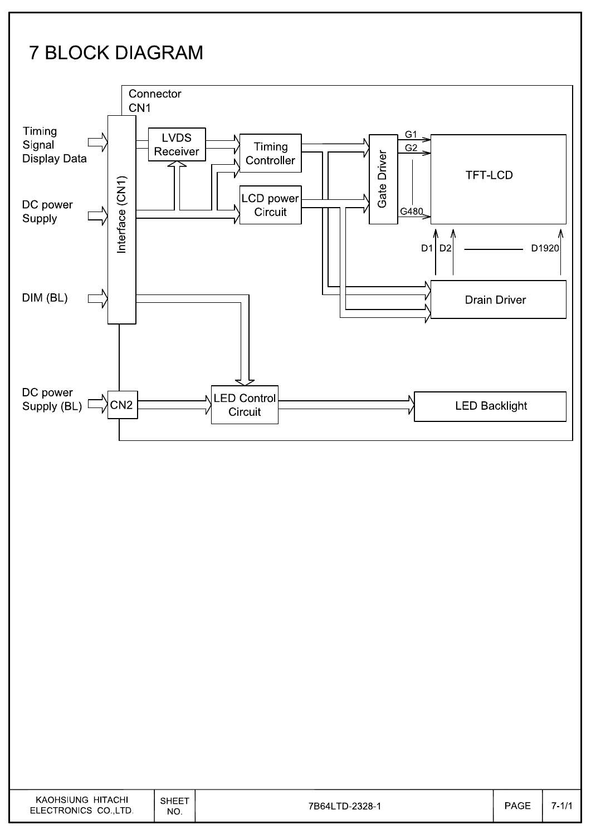# **7 BLOCK DIAGRAM**

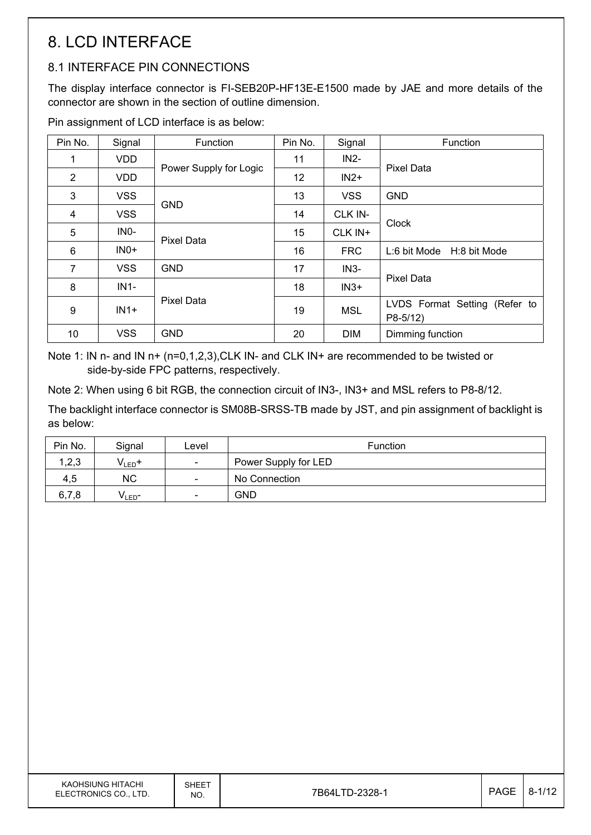## 8. LCD INTERFACE

### 8.1 INTERFACE PIN CONNECTIONS

The display interface connector is FI-SEB20P-HF13E-E1500 made by JAE and more details of the connector are shown in the section of outline dimension.

Pin assignment of LCD interface is as below:

| Pin No.        | Signal            | Function               | Pin No. | Signal     | Function                                   |
|----------------|-------------------|------------------------|---------|------------|--------------------------------------------|
|                | <b>VDD</b>        |                        | 11      | $IN2-$     |                                            |
| $\overline{2}$ | <b>VDD</b>        | Power Supply for Logic | 12      | $IN2+$     | <b>Pixel Data</b>                          |
| 3              | <b>VSS</b>        |                        | 13      | <b>VSS</b> | <b>GND</b>                                 |
| 4              | <b>VSS</b>        | <b>GND</b>             | 14      | CLK IN-    |                                            |
| 5              | IN <sub>0</sub> - | <b>Pixel Data</b>      | 15      | CLK IN+    | Clock                                      |
| 6              | $INO+$            |                        | 16      | <b>FRC</b> | L:6 bit Mode H:8 bit Mode                  |
| $\overline{7}$ | <b>VSS</b>        | <b>GND</b>             | 17      | $IN3-$     |                                            |
| 8              | $IN1-$            |                        | 18      | $IN3+$     | <b>Pixel Data</b>                          |
| 9              | $IN1+$            | <b>Pixel Data</b>      | 19      | <b>MSL</b> | LVDS Format Setting (Refer to<br>$P8-5/12$ |
| 10             | <b>VSS</b>        | <b>GND</b>             | 20      | <b>DIM</b> | Dimming function                           |

Note 1: IN n- and IN n+ (n=0,1,2,3), CLK IN- and CLK IN+ are recommended to be twisted or side-by-side FPC patterns, respectively.

Note 2: When using 6 bit RGB, the connection circuit of IN3-, IN3+ and MSL refers to P8-8/12.

The backlight interface connector is SM08B-SRSS-TB made by JST, and pin assignment of backlight is as below:

| Pin No. | Signal             | Level                    | <b>Function</b>      |
|---------|--------------------|--------------------------|----------------------|
| 1,2,3   | $V_{LED}$ +        | $\overline{\phantom{a}}$ | Power Supply for LED |
| 4,5     | <b>NC</b>          | $\overline{\phantom{a}}$ | No Connection        |
| 6,7,8   | V <sub>LED</sub> - | $\overline{\phantom{a}}$ | <b>GND</b>           |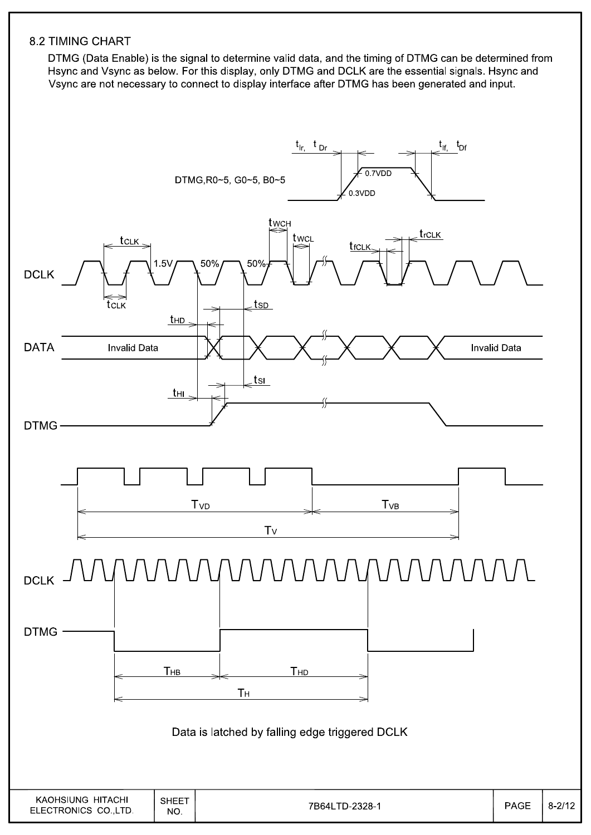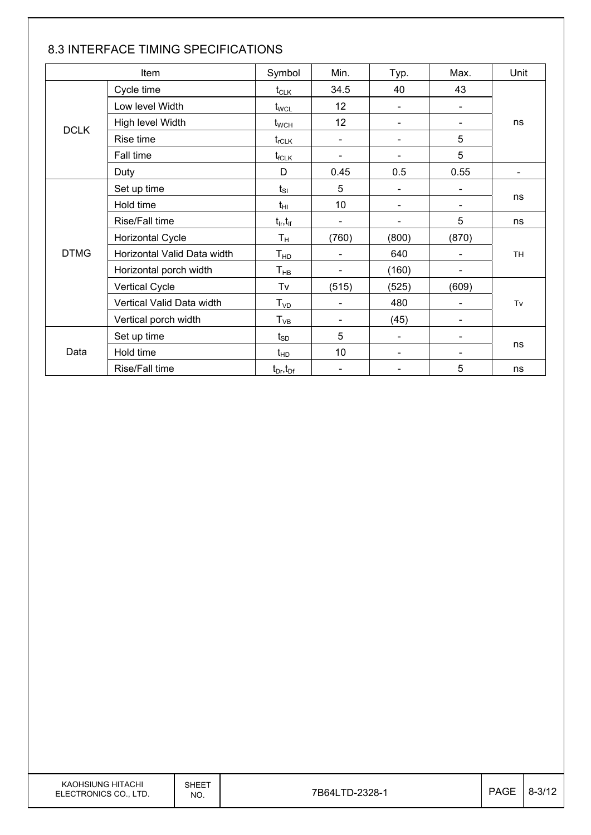|             | Item                        | Symbol                               | Min.                     | Typ.                         | Max.  | Unit                     |
|-------------|-----------------------------|--------------------------------------|--------------------------|------------------------------|-------|--------------------------|
|             | Cycle time                  | $t_{\scriptscriptstyle{\text{CLK}}}$ | 34.5                     | 40                           | 43    |                          |
|             | Low level Width             | $t_{\text{WCL}}$                     | 12                       |                              |       |                          |
|             | High level Width            | $t_{\text{WCH}}$                     | 12                       |                              |       | ns                       |
| <b>DCLK</b> | Rise time                   | $t_{\text{rCLK}}$                    | $\blacksquare$           |                              | 5     |                          |
|             | Fall time                   | $t_{\sf fCLK}$                       | $\overline{\phantom{a}}$ |                              | 5     |                          |
|             | Duty                        | D                                    | 0.45                     | 0.5                          | 0.55  | $\overline{\phantom{a}}$ |
|             | Set up time                 | $t_{\rm SI}$                         | 5                        |                              |       |                          |
|             | Hold time                   | $t_{\rm HI}$                         | 10                       | $\overline{\phantom{0}}$     |       | ns                       |
|             | Rise/Fall time              | $t_{\sf lr}, t_{\sf lf}$             | $\blacksquare$           | $\qquad \qquad \blacksquare$ | 5     | ns                       |
|             | <b>Horizontal Cycle</b>     | $T_{\rm H}$                          | (760)                    | (800)                        | (870) |                          |
| <b>DTMG</b> | Horizontal Valid Data width | $T_{HD}$                             | $\overline{\phantom{a}}$ | 640                          |       | <b>TH</b>                |
|             | Horizontal porch width      | $T_{HB}$                             | $\blacksquare$           | (160)                        |       |                          |
|             | Vertical Cycle              | Tv                                   | (515)                    | (525)                        | (609) |                          |
|             | Vertical Valid Data width   | T <sub>VD</sub>                      | $\overline{\phantom{a}}$ | 480                          |       | Tv                       |
|             | Vertical porch width        | $T_{VB}$                             | $\blacksquare$           | (45)                         |       |                          |
|             | Set up time                 | $t_{SD}$                             | 5                        | $\overline{\phantom{a}}$     |       |                          |
| Data        | Hold time                   | $t_{HD}$                             | 10                       |                              |       | ns                       |
|             | Rise/Fall time              | $t_{Dr}$ , $t_{Dr}$                  | $\overline{\phantom{a}}$ |                              | 5     | ns                       |

#### 8.3 INTERFACE TIMING SPECIFICATIONS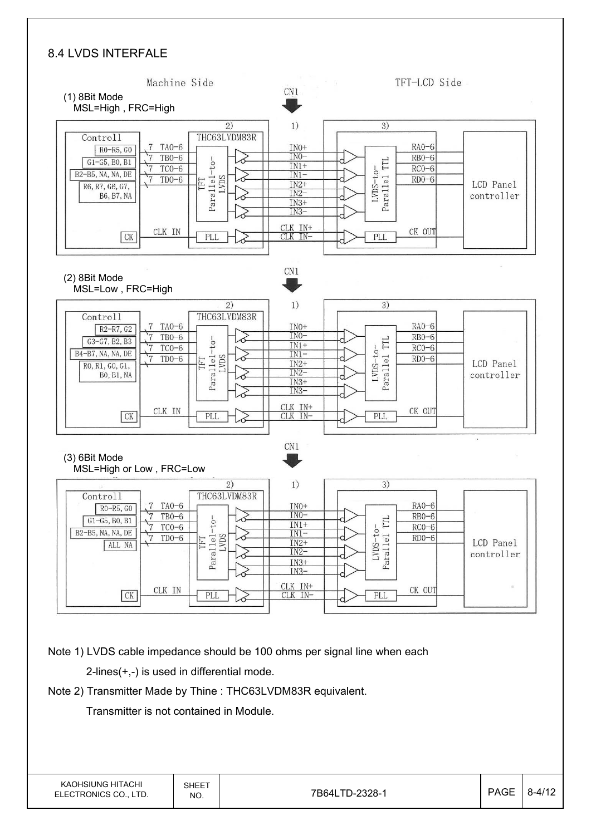#### 8.4 LVDS INTERFALE

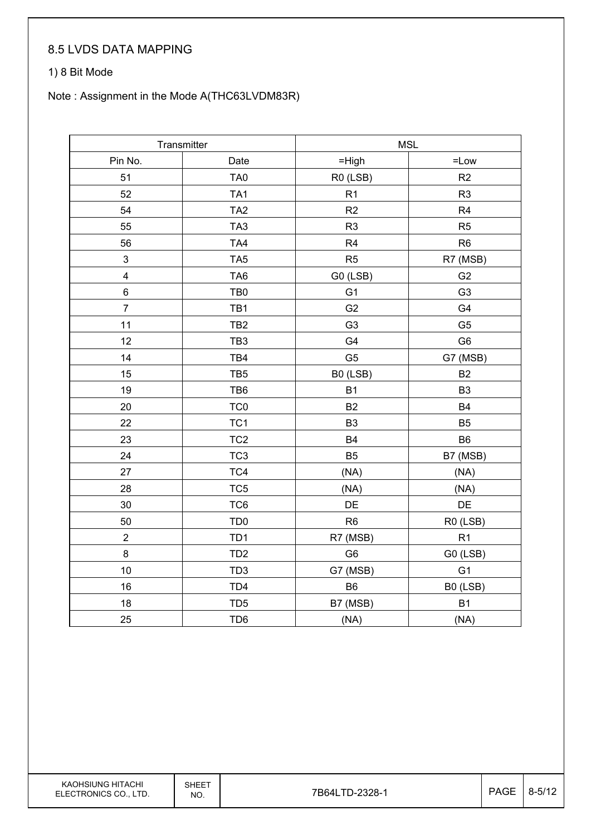#### 8.5 LVDS DATA MAPPING

#### 1) 8 Bit Mode

#### Note : Assignment in the Mode A(THC63LVDM83R)

|                         | Transmitter     | <b>MSL</b>     |                |  |
|-------------------------|-----------------|----------------|----------------|--|
| Pin No.                 | Date            | $=$ High       | $=$ Low        |  |
| 51                      | TA <sub>0</sub> | R0 (LSB)       | R2             |  |
| 52                      | TA <sub>1</sub> | R1             | R <sub>3</sub> |  |
| 54                      | TA <sub>2</sub> | R2             | R <sub>4</sub> |  |
| 55                      | TA <sub>3</sub> | R <sub>3</sub> | R <sub>5</sub> |  |
| 56                      | TA4             | R <sub>4</sub> | R <sub>6</sub> |  |
| 3                       | TA <sub>5</sub> | R5             | R7 (MSB)       |  |
| $\overline{\mathbf{4}}$ | TA <sub>6</sub> | G0 (LSB)       | G <sub>2</sub> |  |
| 6                       | TB <sub>0</sub> | G <sub>1</sub> | G <sub>3</sub> |  |
| $\overline{7}$          | TB1             | G <sub>2</sub> | G <sub>4</sub> |  |
| 11                      | TB <sub>2</sub> | G <sub>3</sub> | G <sub>5</sub> |  |
| 12                      | TB <sub>3</sub> | G4             | G <sub>6</sub> |  |
| 14                      | TB4             | G <sub>5</sub> | G7 (MSB)       |  |
| 15                      | TB <sub>5</sub> | B0 (LSB)       | B <sub>2</sub> |  |
| 19                      | TB6             | <b>B1</b>      | B <sub>3</sub> |  |
| 20                      | TC <sub>0</sub> | B <sub>2</sub> | B <sub>4</sub> |  |
| 22                      | TC <sub>1</sub> | B <sub>3</sub> | B <sub>5</sub> |  |
| 23                      | TC <sub>2</sub> | <b>B4</b>      | B <sub>6</sub> |  |
| 24                      | TC <sub>3</sub> | B <sub>5</sub> | B7 (MSB)       |  |
| 27                      | TC4             | (NA)           | (NA)           |  |
| 28                      | TC <sub>5</sub> | (NA)           | (NA)           |  |
| 30                      | TC6             | DE             | DE             |  |
| 50                      | TD <sub>0</sub> | R <sub>6</sub> | R0 (LSB)       |  |
| $\overline{2}$          | TD <sub>1</sub> | R7 (MSB)       | R1             |  |
| $\bf 8$                 | TD <sub>2</sub> | G <sub>6</sub> | G0 (LSB)       |  |
| 10                      | TD <sub>3</sub> | G7 (MSB)       | G <sub>1</sub> |  |
| 16                      | TD4             | B <sub>6</sub> | B0 (LSB)       |  |
| 18                      | TD <sub>5</sub> | B7 (MSB)       | B <sub>1</sub> |  |
| 25                      | TD <sub>6</sub> | (NA)           | (NA)           |  |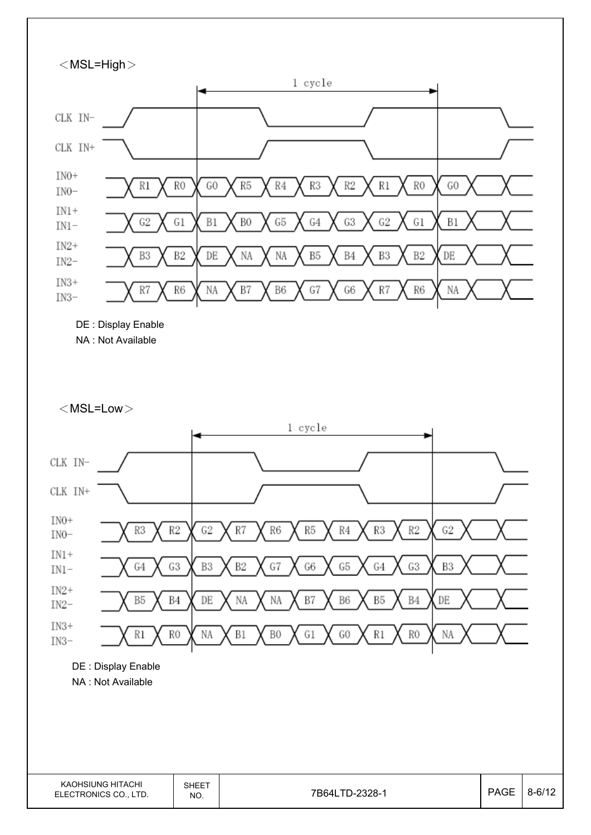

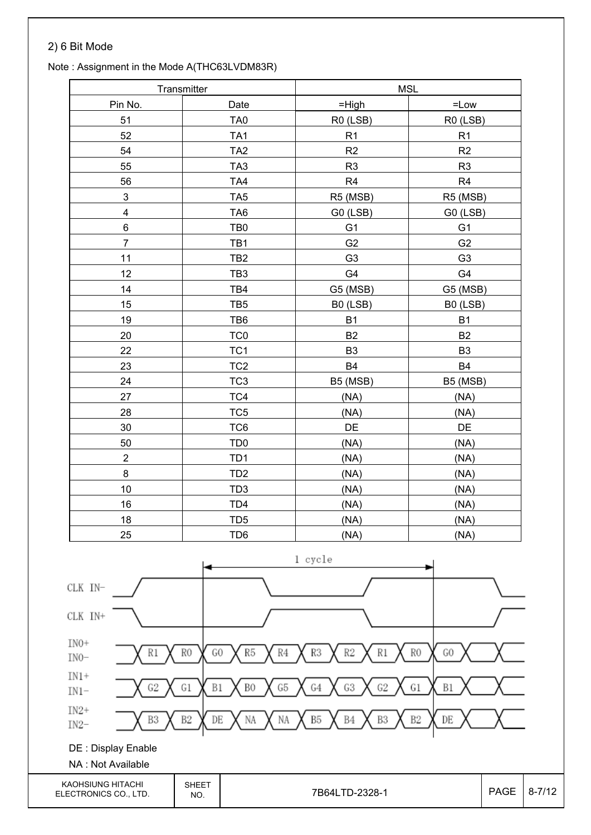#### 2) 6 Bit Mode

#### Note : Assignment in the Mode A(THC63LVDM83R)

|                           | Transmitter     | <b>MSL</b>     |                |  |
|---------------------------|-----------------|----------------|----------------|--|
| Pin No.                   | Date            | $=$ High       | $=$ Low        |  |
| 51                        | TA <sub>0</sub> | R0 (LSB)       | R0 (LSB)       |  |
| 52                        | TA <sub>1</sub> | R1             | R1             |  |
| 54                        | TA <sub>2</sub> | R2             | R2             |  |
| 55                        | TA <sub>3</sub> | R <sub>3</sub> | R <sub>3</sub> |  |
| 56                        | TA4             | R <sub>4</sub> | R4             |  |
| $\ensuremath{\mathsf{3}}$ | TA <sub>5</sub> | R5 (MSB)       | R5 (MSB)       |  |
| $\overline{\mathbf{4}}$   | TA <sub>6</sub> | G0 (LSB)       | G0 (LSB)       |  |
| 6                         | TB <sub>0</sub> | G <sub>1</sub> | G <sub>1</sub> |  |
| $\overline{7}$            | TB1             | G <sub>2</sub> | G <sub>2</sub> |  |
| 11                        | TB <sub>2</sub> | G <sub>3</sub> | G <sub>3</sub> |  |
| 12                        | TB <sub>3</sub> | G4             | G4             |  |
| 14                        | TB4             | G5 (MSB)       | G5 (MSB)       |  |
| 15                        | TB <sub>5</sub> | B0 (LSB)       | B0 (LSB)       |  |
| 19                        | TB6             | <b>B1</b>      | <b>B1</b>      |  |
| 20                        | TC <sub>0</sub> | <b>B2</b>      | <b>B2</b>      |  |
| 22                        | TC <sub>1</sub> | B <sub>3</sub> | B <sub>3</sub> |  |
| 23                        | TC <sub>2</sub> | <b>B4</b>      | <b>B4</b>      |  |
| 24                        | TC <sub>3</sub> | B5 (MSB)       | B5 (MSB)       |  |
| 27                        | TC4             | (NA)           | (NA)           |  |
| 28                        | TC <sub>5</sub> | (NA)           | (NA)           |  |
| 30                        | TC6             | DE             | DE             |  |
| 50                        | TD <sub>0</sub> | (NA)           | (NA)           |  |
| $\overline{2}$            | TD <sub>1</sub> | (NA)           | (NA)           |  |
| $\bf 8$                   | TD <sub>2</sub> | (NA)           | (NA)           |  |
| 10                        | TD <sub>3</sub> | (NA)           | (NA)           |  |
| 16                        | TD4             | (NA)           | (NA)           |  |
| 18                        | TD <sub>5</sub> | (NA)           | (NA)           |  |
| 25                        | TD <sub>6</sub> | (NA)           | (NA)           |  |

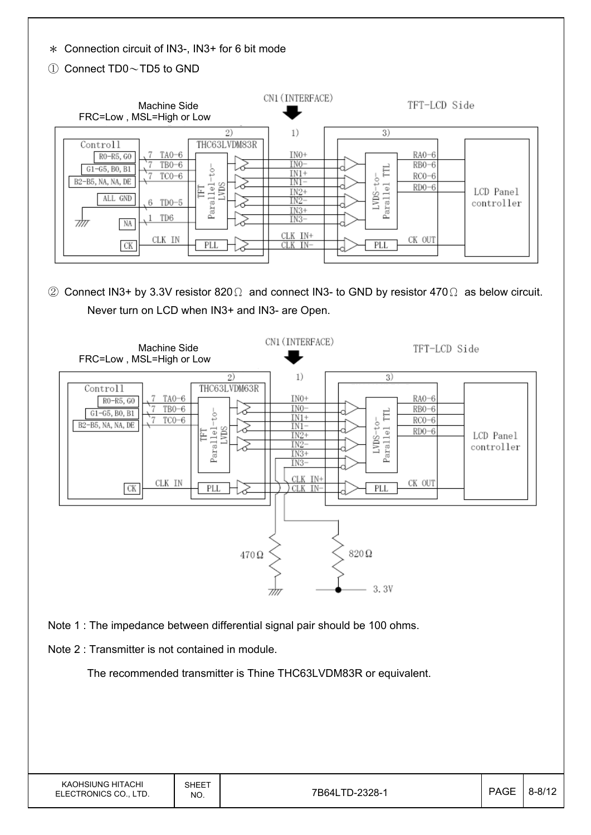Ϡ Connection circuit of IN3-, IN3+ for 6 bit mode

Ԙ Connect TD0ДTD5 to GND

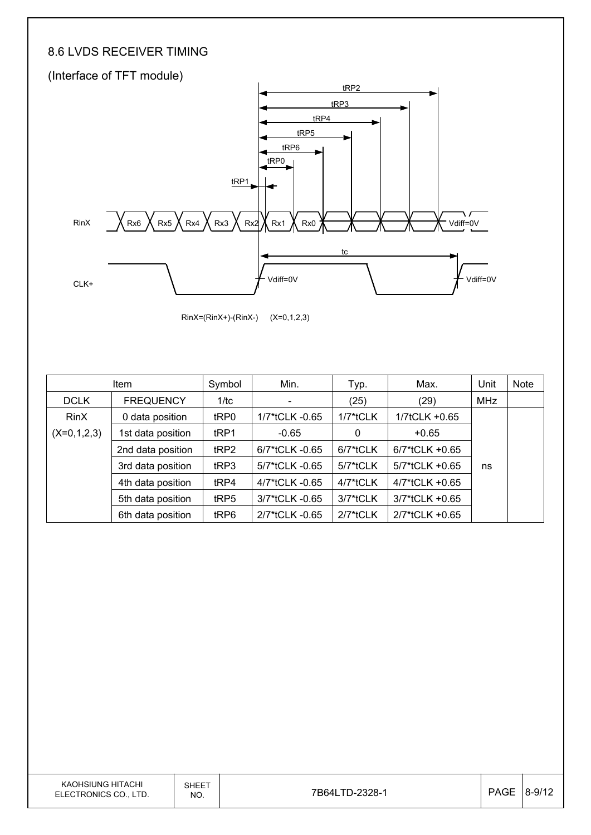#### 8.6 LVDS RECEIVER TIMING



RinX=(RinX+)-(RinX-) (X=0,1,2,3)

|               | Item              | Symbol           | Min.                     | Typ.        | Max.           | Unit | Note |
|---------------|-------------------|------------------|--------------------------|-------------|----------------|------|------|
| <b>DCLK</b>   | <b>FREQUENCY</b>  | 1/tc             | $\overline{\phantom{a}}$ | (25)        | (29)           | MHz  |      |
| <b>RinX</b>   | 0 data position   | tRP0             | 1/7*tCLK -0.65           | $1/7$ *tCLK | 1/7tCLK +0.65  |      |      |
| $(X=0,1,2,3)$ | 1st data position | tRP1             | $-0.65$                  | 0           | $+0.65$        |      |      |
|               | 2nd data position | tRP2             | $6/7$ *tCLK -0.65        | 6/7*tCLK    | 6/7*tCLK +0.65 |      |      |
|               | 3rd data position | t <sub>RP3</sub> | 5/7*tCLK -0.65           | 5/7*tCLK    | 5/7*tCLK +0.65 | ns   |      |
|               | 4th data position | tRP4             | 4/7*tCLK -0.65           | 4/7*tCLK    | 4/7*tCLK +0.65 |      |      |
|               | 5th data position | tRP5             | 3/7*tCLK -0.65           | $3/7$ *tCLK | 3/7*tCLK +0.65 |      |      |
|               | 6th data position | tRP6             | 2/7*tCLK -0.65           | $2/7$ *tCLK | 2/7*tCLK +0.65 |      |      |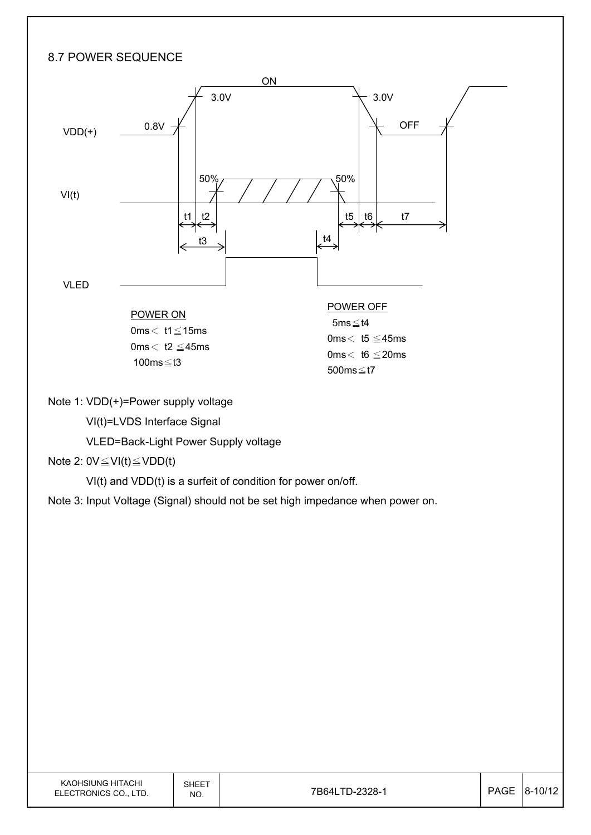### 8.7 POWER SEQUENCE



Note 1: VDD(+)=Power supply voltage

VI(t)=LVDS Interface Signal

VLED=Back-Light Power Supply voltage

#### Note 2:  $0V \leq VI(t) \leq VDD(t)$

VI(t) and VDD(t) is a surfeit of condition for power on/off.

Note 3: Input Voltage (Signal) should not be set high impedance when power on.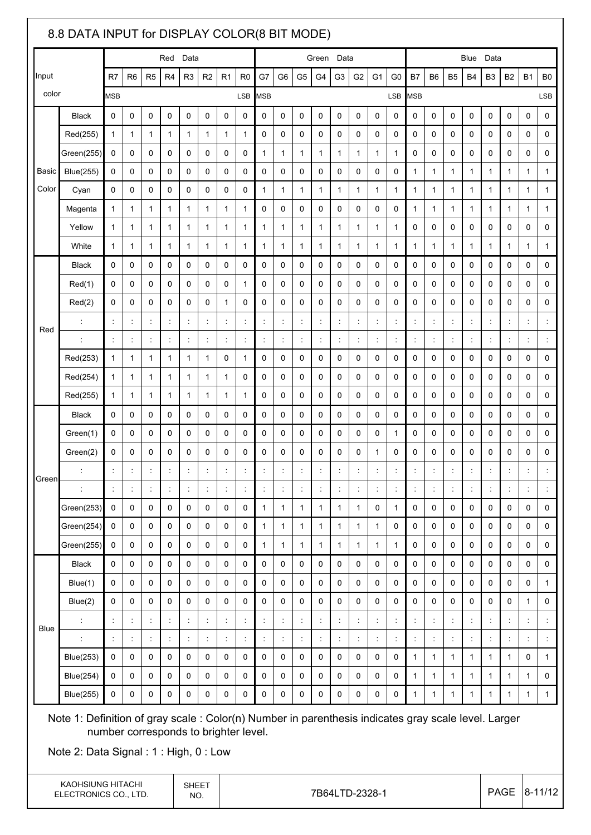|                                                                                                                                                                                                                                        | 8.8 DATA INPUT for DISPLAY COLOR(8 BIT MODE)                                                                                                                                          |                |                      |                      |                |                      |                      |                      |                      |                      |                      |                      |                      |                      |                      |                |                      |                      |                      |                      |                      |                      |                      |                |                      |
|----------------------------------------------------------------------------------------------------------------------------------------------------------------------------------------------------------------------------------------|---------------------------------------------------------------------------------------------------------------------------------------------------------------------------------------|----------------|----------------------|----------------------|----------------|----------------------|----------------------|----------------------|----------------------|----------------------|----------------------|----------------------|----------------------|----------------------|----------------------|----------------|----------------------|----------------------|----------------------|----------------------|----------------------|----------------------|----------------------|----------------|----------------------|
|                                                                                                                                                                                                                                        | Data<br>Red                                                                                                                                                                           |                |                      |                      |                |                      |                      |                      | Green                | Data                 |                      |                      |                      | Data<br>Blue         |                      |                |                      |                      |                      |                      |                      |                      |                      |                |                      |
| Input                                                                                                                                                                                                                                  |                                                                                                                                                                                       | R7             | R <sub>6</sub>       | R <sub>5</sub>       | R4             | R <sub>3</sub>       | R <sub>2</sub>       | R1                   | R <sub>0</sub>       | G7                   | G6                   | G <sub>5</sub>       | G4                   | G <sub>3</sub>       | G <sub>2</sub>       | G1             | G0                   | <b>B7</b>            | B <sub>6</sub>       | B5                   | B <sub>4</sub>       | B <sub>3</sub>       | <b>B2</b>            | <b>B1</b>      | B <sub>0</sub>       |
| color                                                                                                                                                                                                                                  |                                                                                                                                                                                       | <b>MSB</b>     |                      |                      |                |                      |                      |                      | <b>LSB</b>           | <b>MSB</b>           |                      |                      |                      |                      |                      |                | <b>LSB</b>           | MSB                  |                      |                      |                      |                      |                      |                | <b>LSB</b>           |
|                                                                                                                                                                                                                                        | <b>Black</b>                                                                                                                                                                          | $\mathbf 0$    | $\mathbf 0$          | 0                    | 0              | $\mathbf 0$          | 0                    | 0                    | 0                    | 0                    | 0                    | 0                    | 0                    | 0                    | $\mathbf 0$          | 0              | 0                    | 0                    | 0                    | 0                    | 0                    | 0                    | 0                    | 0              | 0                    |
|                                                                                                                                                                                                                                        | Red(255)                                                                                                                                                                              | $\mathbf{1}$   | $\mathbf{1}$         | $\mathbf{1}$         | 1              | $\mathbf{1}$         | $\mathbf{1}$         | 1                    | $\mathbf{1}$         | 0                    | 0                    | $\mathbf 0$          | 0                    | 0                    | 0                    | 0              | 0                    | 0                    | 0                    | 0                    | 0                    | 0                    | 0                    | 0              | 0                    |
|                                                                                                                                                                                                                                        | Green(255)                                                                                                                                                                            | 0              | 0                    | 0                    | 0              | 0                    | 0                    | 0                    | 0                    | $\mathbf{1}$         | 1                    | $\mathbf{1}$         | $\mathbf{1}$         | 1                    | $\mathbf{1}$         | $\mathbf{1}$   | 1                    | 0                    | 0                    | 0                    | 0                    | 0                    | 0                    | 0              | 0                    |
| Basic                                                                                                                                                                                                                                  | <b>Blue(255)</b>                                                                                                                                                                      | $\mathbf 0$    | $\mathbf 0$          | 0                    | 0              | $\mathbf 0$          | 0                    | 0                    | $\mathbf 0$          | 0                    | 0                    | $\mathbf 0$          | 0                    | 0                    | 0                    | 0              | 0                    | $\mathbf{1}$         | $\mathbf{1}$         | 1                    | 1                    | $\mathbf 1$          | 1                    | 1              | 1                    |
| Color                                                                                                                                                                                                                                  | Cyan                                                                                                                                                                                  | 0              | 0                    | 0                    | 0              | 0                    | 0                    | 0                    | 0                    | $\mathbf{1}$         | 1                    | 1                    | 1                    | 1                    | 1                    | 1              | 1                    | $\mathbf{1}$         | 1                    | 1                    | 1                    | 1                    | 1                    | $\mathbf{1}$   | 1                    |
|                                                                                                                                                                                                                                        | Magenta                                                                                                                                                                               | $\mathbf{1}$   | 1                    | 1                    | 1              | $\mathbf{1}$         | $\mathbf{1}$         | 1                    | 1                    | 0                    | 0                    | 0                    | 0                    | 0                    | 0                    | 0              | 0                    | 1                    | $\mathbf{1}$         | 1                    | 1                    | $\mathbf{1}$         | 1                    | 1              | 1                    |
|                                                                                                                                                                                                                                        | Yellow                                                                                                                                                                                | 1              | 1                    | 1                    | 1              | 1                    | 1                    | 1                    | 1                    | 1                    | 1                    | 1                    | 1                    | 1                    | 1                    | 1              | 1                    | 0                    | 0                    | 0                    | 0                    | 0                    | 0                    | 0              | 0                    |
|                                                                                                                                                                                                                                        | White                                                                                                                                                                                 | 1              | 1                    | 1                    | 1              | 1                    | 1                    | 1                    | 1                    | 1                    | 1                    | 1                    | 1                    | 1                    | 1                    | 1              | 1                    | 1                    | 1                    | 1                    | 1                    | $\mathbf{1}$         | 1                    | 1              | 1                    |
|                                                                                                                                                                                                                                        | <b>Black</b>                                                                                                                                                                          | $\Omega$       | 0                    | 0                    | 0              | $\mathbf 0$          | 0                    | 0                    | $\mathbf 0$          | 0                    | 0                    | $\mathbf 0$          | 0                    | 0                    | 0                    | 0              | 0                    | 0                    | 0                    | 0                    | 0                    | 0                    | 0                    | 0              | 0                    |
| Red                                                                                                                                                                                                                                    | Red(1)                                                                                                                                                                                | 0              | 0                    | 0                    | 0              | 0                    | 0                    | 0                    | 1                    | 0                    | 0                    | 0                    | 0                    | 0                    | 0                    | 0              | 0                    | 0                    | 0                    | 0                    | 0                    | 0                    | 0                    | 0              | 0                    |
|                                                                                                                                                                                                                                        | Red(2)                                                                                                                                                                                | 0              | 0                    | 0                    | 0              | 0                    | 0                    | 1                    | 0                    | 0                    | 0                    | 0                    | 0                    | 0                    | 0                    | 0              | 0                    | 0                    | 0                    | 0                    | 0                    | 0                    | 0                    | 0              | 0                    |
|                                                                                                                                                                                                                                        |                                                                                                                                                                                       | ÷              | $\ddot{\phantom{a}}$ | $\ddot{\phantom{a}}$ |                | $\ddot{\phantom{a}}$ | $\ddot{\phantom{a}}$ | $\ddot{\phantom{a}}$ | ÷                    | $\ddot{\phantom{a}}$ | $\ddot{\phantom{a}}$ | ÷                    | t                    | $\ddot{\phantom{a}}$ | $\ddot{\phantom{a}}$ | t              | t                    | $\ddot{\phantom{a}}$ | t                    | $\ddot{\phantom{a}}$ | $\ddot{\phantom{a}}$ | ÷                    | $\ddot{\phantom{a}}$ | $\ddot{\cdot}$ |                      |
|                                                                                                                                                                                                                                        | $\ddot{\phantom{a}}$                                                                                                                                                                  | ÷              | ÷                    | $\ddot{\phantom{a}}$ |                | ÷                    | $\ddot{\cdot}$       | $\ddot{\phantom{a}}$ | ÷                    | t                    | $\ddot{\phantom{a}}$ | ÷                    | t                    | $\ddot{\phantom{a}}$ | $\ddot{.}$           | t              | ÷                    | $\ddot{.}$           | $\ddot{\phantom{a}}$ | $\ddot{\phantom{a}}$ | $\ddot{.}$           | ÷                    | $\ddot{\phantom{a}}$ | ÷              | $\ddot{\phantom{a}}$ |
|                                                                                                                                                                                                                                        | Red(253)                                                                                                                                                                              | 1              | 1                    | 1                    | 1              | 1                    | 1                    | 0                    | 1                    | 0                    | 0                    | 0                    | 0                    | 0                    | 0                    | 0              | 0                    | 0                    | 0                    | 0                    | 0                    | 0                    | 0                    | 0              | 0                    |
|                                                                                                                                                                                                                                        | Red(254)                                                                                                                                                                              | 1              | 1                    | 1                    | 1              | 1                    | 1                    | 1                    | 0                    | 0                    | 0                    | 0                    | 0                    | 0                    | 0                    | 0              | 0                    | 0                    | 0                    | 0                    | 0                    | 0                    | 0                    | 0              | 0                    |
|                                                                                                                                                                                                                                        | Red(255)                                                                                                                                                                              | 1              | $\mathbf{1}$         | 1                    | 1              | $\mathbf{1}$         | 1                    | 1                    | $\mathbf{1}$         | 0                    | 0                    | 0                    | 0                    | 0                    | 0                    | 0              | 0                    | 0                    | 0                    | 0                    | 0                    | 0                    | 0                    | 0              | 0                    |
|                                                                                                                                                                                                                                        | <b>Black</b>                                                                                                                                                                          | 0              | 0                    | 0                    | 0              | $\mathbf 0$          | 0                    | 0                    | $\mathbf 0$          | 0                    | 0                    | $\mathbf 0$          | 0                    | 0                    | $\mathbf 0$          | 0              | 0                    | 0                    | 0                    | 0                    | 0                    | 0                    | 0                    | 0              | 0                    |
|                                                                                                                                                                                                                                        | Green(1)                                                                                                                                                                              | 0              | 0                    | 0                    | 0              | 0                    | 0                    | 0                    | 0                    | 0                    | 0                    | 0                    | 0                    | 0                    | 0                    | 0              | 1                    | 0                    | 0                    | 0                    | 0                    | 0                    | 0                    | 0              | 0                    |
|                                                                                                                                                                                                                                        | Green(2)                                                                                                                                                                              | 0              | 0                    | 0                    | 0              | 0                    | 0                    | 0                    | 0                    | 0                    | 0                    | 0                    | 0                    | 0                    | 0                    | 1              | 0                    | 0                    | 0                    | 0                    | 0                    | 0                    | 0                    | 0              | 0                    |
| Green                                                                                                                                                                                                                                  |                                                                                                                                                                                       | $\ddot{\cdot}$ | $\ddot{\phantom{a}}$ | ċ                    | t              | $\ddot{\phantom{a}}$ | $\ddot{\cdot}$       | $\ddot{\phantom{a}}$ | $\ddot{\phantom{a}}$ | $\ddot{\cdot}$       | $\ddot{\phantom{a}}$ | $\ddot{\phantom{a}}$ | t                    | $\ddot{\phantom{a}}$ | $\ddot{\phantom{a}}$ | ÷              | $\ddot{\cdot}$       | $\ddot{\phantom{a}}$ | $\ddot{.}$           | ÷                    | $\ddot{\phantom{a}}$ | $\ddot{\phantom{a}}$ | $\ddot{\phantom{a}}$ | $\ddot{\cdot}$ |                      |
|                                                                                                                                                                                                                                        |                                                                                                                                                                                       | $\ddot{\cdot}$ | $\ddot{\phantom{a}}$ | $\ddot{\phantom{a}}$ | $\ddot{\cdot}$ | $\ddot{\cdot}$       | $\ddot{\phantom{a}}$ | $\ddot{.}$           | $\ddot{\cdot}$       | t,                   | $\ddot{.}$           | $\ddot{\phantom{a}}$ | $\ddot{\cdot}$       | $\ddot{.}$           | $\ddot{\phantom{a}}$ | $\ddot{\cdot}$ | $\ddot{\phantom{a}}$ | $\ddot{\phantom{a}}$ | $\ddot{\phantom{a}}$ | t                    | $\ddot{\cdot}$       | ÷.                   | $\ddot{.}$           | $\ddot{\cdot}$ | $\vdots$             |
|                                                                                                                                                                                                                                        | Green(253)                                                                                                                                                                            | $\pmb{0}$      | $\mathsf{O}\xspace$  | 0                    | 0              | $\mathsf{O}\xspace$  | $\pmb{0}$            | 0                    | $\mathsf{O}\xspace$  | 1                    | 1                    | $\mathbf{1}$         | $\mathbf{1}$         | 1                    | $\mathbf{1}$         | 0              | 1                    | 0                    | 0                    | 0                    | 0                    | 0                    | 0                    | 0              | 0                    |
|                                                                                                                                                                                                                                        | Green(254)                                                                                                                                                                            | $\mathbf 0$    | $\mathbf 0$          | 0                    | 0              | $\mathbf 0$          | 0                    | 0                    | $\mathbf 0$          | $\mathbf{1}$         | 1                    | $\mathbf{1}$         | $\mathbf{1}$         | 1                    | $\mathbf{1}$         | $\mathbf{1}$   | 0                    | 0                    | 0                    | 0                    | 0                    | 0                    | 0                    | $\mathbf 0$    | 0                    |
|                                                                                                                                                                                                                                        | Green(255)                                                                                                                                                                            | $\pmb{0}$      | 0                    | 0                    | $\mathbf 0$    | $\mathsf{O}\xspace$  | 0                    | 0                    | $\mathsf{O}\xspace$  | $\mathbf{1}$         | $\mathbf{1}$         | $\mathbf{1}$         | $\mathbf{1}$         | 1                    | $\mathbf{1}$         | $\mathbf{1}$   | 1                    | 0                    | 0                    | 0                    | 0                    | 0                    | 0                    | 0              | 0                    |
|                                                                                                                                                                                                                                        | <b>Black</b>                                                                                                                                                                          | 0              | 0                    | 0                    | 0              | 0                    | 0                    | 0                    | 0                    | 0                    | 0                    | 0                    | 0                    | 0                    | 0                    | 0              | 0                    | 0                    | 0                    | 0                    | 0                    | 0                    | 0                    | 0              | $\mathsf{O}\xspace$  |
|                                                                                                                                                                                                                                        | Blue(1)                                                                                                                                                                               | $\mathbf 0$    | $\mathbf 0$          | $\mathbf 0$          | $\Omega$       | $\mathbf 0$          | $\mathbf 0$          | 0                    | $\mathbf 0$          | $\mathbf 0$          | 0                    | $\mathbf 0$          | 0                    | $\mathbf 0$          | $\mathbf 0$          | 0              | $\mathbf 0$          | $\mathbf 0$          | $\mathbf 0$          | 0                    | $\mathbf 0$          | 0                    | 0                    | $\mathbf 0$    | $\mathbf{1}$         |
|                                                                                                                                                                                                                                        | Blue(2)                                                                                                                                                                               | $\mathbf 0$    | $\pmb{0}$            | 0                    | $\mathbf 0$    | $\pmb{0}$            | 0                    | 0                    | 0                    | 0                    | 0                    | 0                    | 0                    | 0                    | 0                    | 0              | 0                    | 0                    | 0                    | 0                    | 0                    | 0                    | 0                    | $\mathbf{1}$   | 0                    |
| Blue                                                                                                                                                                                                                                   |                                                                                                                                                                                       | $\ddot{\cdot}$ | $\ddot{\phantom{a}}$ | t                    |                | t,                   | $\ddot{\phantom{a}}$ | $\ddot{\phantom{a}}$ | $\ddot{\phantom{a}}$ | $\ddot{\phantom{a}}$ | $\ddot{\phantom{a}}$ | $\ddot{\phantom{a}}$ | t                    | $\ddot{\phantom{a}}$ | $\ddot{\phantom{a}}$ | t              | $\ddot{\phantom{a}}$ | $\ddot{\phantom{a}}$ | $\ddot{\phantom{a}}$ | t                    | $\ddot{\cdot}$       | t,                   | $\ddot{\phantom{a}}$ | $\ddot{\cdot}$ |                      |
|                                                                                                                                                                                                                                        |                                                                                                                                                                                       | ÷              | t,                   | $\ddot{\phantom{a}}$ | t              | t,                   | $\ddot{\phantom{a}}$ | $\ddot{.}$           | Ť,                   | $\ddot{\phantom{a}}$ | $\ddot{.}$           | Ť,                   | $\ddot{\phantom{a}}$ | $\ddot{\phantom{a}}$ | $\ddot{\phantom{a}}$ | ÷              | $\ddot{\phantom{a}}$ | $\ddot{\phantom{a}}$ | $\ddot{\phantom{a}}$ | $\ddot{\cdot}$       | $\ddot{\cdot}$       | t,                   | $\ddot{\cdot}$       | $\ddot{\cdot}$ | $\ddot{\phantom{a}}$ |
|                                                                                                                                                                                                                                        | <b>Blue(253)</b>                                                                                                                                                                      | 0              | $\mathsf{O}\xspace$  | 0                    | 0              | $\mathbf 0$          | 0                    | 0                    | $\mathbf 0$          | 0                    | 0                    | $\mathbf 0$          | $\mathbf 0$          | 0                    | 0                    | $\mathbf 0$    | 0                    | $\mathbf{1}$         | $\mathbf{1}$         | 1                    | $\mathbf{1}$         | $\mathbf{1}$         | 1                    | $\mathbf 0$    | $\mathbf{1}$         |
|                                                                                                                                                                                                                                        | <b>Blue(254)</b>                                                                                                                                                                      | $\mathbf 0$    | 0                    | 0                    | $\mathbf 0$    | 0                    | 0                    | 0                    | $\mathsf{O}\xspace$  | 0                    | 0                    | $\mathsf{O}\xspace$  | 0                    | 0                    | 0                    | 0              | $\pmb{0}$            | $\mathbf{1}$         | $\mathbf{1}$         | $\mathbf{1}$         | $\mathbf{1}$         | $\mathbf{1}$         | 1                    | $\mathbf{1}$   | 0                    |
| <b>Blue(255)</b><br>$\mathbf{1}$<br>$\mathbf 0$<br>$\mathbf 0$<br>0<br>$\mathbf 0$<br>0<br>0<br>0<br>$\mathbf 0$<br>0<br>0<br>$\mathbf 0$<br>0<br>0<br>0<br>0<br>0<br>$\mathbf{1}$<br>1<br>1<br>$\mathbf{1}$<br>$\mathbf{1}$<br>1<br>1 |                                                                                                                                                                                       |                |                      |                      |                |                      |                      |                      |                      |                      |                      |                      |                      |                      |                      |                |                      |                      |                      |                      |                      |                      |                      |                |                      |
|                                                                                                                                                                                                                                        | Note 1: Definition of gray scale : Color(n) Number in parenthesis indicates gray scale level. Larger<br>number corresponds to brighter level.<br>Note 2: Data Signal: 1: High, 0: Low |                |                      |                      |                |                      |                      |                      |                      |                      |                      |                      |                      |                      |                      |                |                      |                      |                      |                      |                      |                      |                      |                |                      |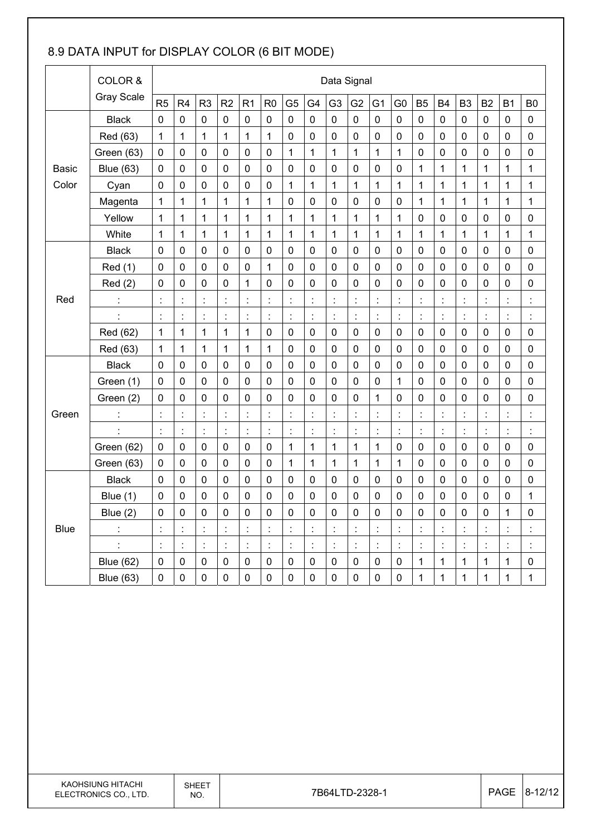### 8.9 DATA INPUT for DISPLAY COLOR (6 BIT MODE)

|              | COLOR &           |                      | Data Signal    |                |                      |                      |                |                |                |                      |                |                      |                      |                          |                      |                |                |                |                      |
|--------------|-------------------|----------------------|----------------|----------------|----------------------|----------------------|----------------|----------------|----------------|----------------------|----------------|----------------------|----------------------|--------------------------|----------------------|----------------|----------------|----------------|----------------------|
|              | <b>Gray Scale</b> | R <sub>5</sub>       | R4             | R <sub>3</sub> | R2                   | R <sub>1</sub>       | R <sub>0</sub> | G <sub>5</sub> | G4             | G <sub>3</sub>       | G <sub>2</sub> | G <sub>1</sub>       | G <sub>0</sub>       | <b>B5</b>                | <b>B4</b>            | B <sub>3</sub> | B <sub>2</sub> | <b>B1</b>      | B <sub>0</sub>       |
|              | <b>Black</b>      | $\mathbf 0$          | 0              | $\mathbf 0$    | $\mathbf 0$          | $\mathbf 0$          | $\mathbf 0$    | 0              | 0              | $\mathbf 0$          | $\mathbf 0$    | $\mathbf 0$          | $\mathbf 0$          | $\mathbf 0$              | $\mathbf 0$          | $\mathbf 0$    | $\mathbf 0$    | 0              | $\mathbf 0$          |
|              | Red (63)          | $\mathbf 1$          | 1              | $\mathbf{1}$   | 1                    | 1                    | 1              | 0              | 0              | $\mathbf 0$          | 0              | 0                    | 0                    | $\mathbf 0$              | $\mathbf 0$          | 0              | $\mathbf 0$    | $\mathbf 0$    | $\mathbf 0$          |
|              | Green (63)        | $\mathbf 0$          | 0              | $\mathbf 0$    | $\mathbf 0$          | $\mathbf 0$          | $\mathbf 0$    | 1              | 1              | $\mathbf{1}$         | 1              | $\mathbf{1}$         | $\mathbf{1}$         | $\mathbf 0$              | $\mathbf 0$          | 0              | $\mathbf 0$    | $\mathbf 0$    | $\pmb{0}$            |
| <b>Basic</b> | <b>Blue (63)</b>  | $\mathbf 0$          | 0              | $\mathbf 0$    | $\mathbf 0$          | $\mathbf 0$          | $\mathbf 0$    | $\mathbf 0$    | $\mathbf 0$    | $\mathbf 0$          | 0              | 0                    | 0                    | 1                        | $\mathbf{1}$         | $\mathbf{1}$   | $\mathbf{1}$   | 1              | $\mathbf{1}$         |
| Color        | Cyan              | $\mathbf 0$          | 0              | 0              | $\mathbf 0$          | $\mathbf 0$          | $\mathbf 0$    | 1              | 1              | 1                    | 1              | 1                    | 1                    | 1                        | 1                    | 1              | 1              | 1              | $\mathbf 1$          |
|              | Magenta           | 1                    | 1              | $\mathbf{1}$   | 1                    | 1                    | 1              | $\mathbf 0$    | $\mathbf 0$    | $\mathbf 0$          | 0              | 0                    | 0                    | 1                        | $\mathbf{1}$         | $\mathbf{1}$   | $\mathbf{1}$   | 1              | $\mathbf{1}$         |
|              | Yellow            | 1                    | 1              | $\mathbf 1$    | 1                    | 1                    | 1              | 1              | 1              | $\mathbf{1}$         | 1              | $\mathbf{1}$         | 1                    | $\mathbf 0$              | $\mathbf 0$          | 0              | $\mathbf 0$    | $\mathbf 0$    | $\pmb{0}$            |
|              | White             | $\mathbf 1$          | 1              | $\mathbf{1}$   | 1                    | $\mathbf 1$          | 1              | 1              | $\mathbf{1}$   | $\mathbf{1}$         | $\mathbf{1}$   | $\mathbf{1}$         | $\mathbf 1$          | 1                        | $\mathbf{1}$         | $\mathbf{1}$   | 1              | 1              | $\mathbf{1}$         |
|              | <b>Black</b>      | $\mathbf 0$          | 0              | 0              | $\mathbf 0$          | $\mathbf 0$          | $\mathbf 0$    | 0              | 0              | $\mathbf 0$          | $\mathbf 0$    | 0                    | $\mathbf 0$          | $\mathbf 0$              | $\mathbf 0$          | 0              | $\mathbf 0$    | $\mathbf 0$    | $\pmb{0}$            |
|              | Red (1)           | 0                    | $\mathbf 0$    | $\mathbf 0$    | $\mathbf 0$          | $\mathbf 0$          | 1              | 0              | 0              | $\mathbf 0$          | 0              | 0                    | $\mathbf 0$          | $\mathbf 0$              | $\mathbf 0$          | 0              | 0              | $\mathbf 0$    | $\mathbf 0$          |
| Red          | Red(2)            | $\mathbf 0$          | 0              | $\mathbf 0$    | $\mathbf 0$          | 1                    | 0              | 0              | $\mathbf 0$    | $\mathbf 0$          | $\mathbf 0$    | 0                    | $\mathbf 0$          | $\mathbf 0$              | $\mathbf 0$          | 0              | $\mathbf 0$    | $\mathbf 0$    | $\pmb{0}$            |
|              |                   | ċ                    | $\ddot{\cdot}$ | $\ddot{\cdot}$ | $\ddot{\phantom{a}}$ | $\ddot{\cdot}$       | $\ddot{\cdot}$ | t              | t              | $\ddot{\cdot}$       | $\ddot{\cdot}$ | ł,                   | $\ddot{\cdot}$       | $\ddot{\cdot}$           | ċ                    | ÷,             | Ì              | Ì              | $\ddot{\cdot}$       |
|              | $\ddot{\cdot}$    | $\ddot{\cdot}$       | $\ddot{\cdot}$ | $\ddot{\cdot}$ | $\ddot{\cdot}$       | $\ddot{\phantom{a}}$ | $\ddot{\cdot}$ | t,             | $\ddot{\cdot}$ | $\ddot{\phantom{a}}$ | $\ddot{\cdot}$ | $\ddot{\phantom{a}}$ | $\ddot{\cdot}$       | $\overline{\phantom{a}}$ | $\ddot{\phantom{a}}$ | $\ddot{\cdot}$ | $\ddot{\cdot}$ | $\ddot{\cdot}$ | $\ddot{\phantom{a}}$ |
|              | Red (62)          | $\mathbf 1$          | 1              | $\mathbf{1}$   | 1                    | 1                    | 0              | 0              | 0              | 0                    | 0              | 0                    | 0                    | $\mathbf 0$              | 0                    | 0              | $\mathbf 0$    | 0              | $\mathbf 0$          |
|              | Red (63)          | 1                    | 1              | $\mathbf{1}$   | 1                    | 1                    | 1              | 0              | 0              | $\mathbf 0$          | $\mathbf 0$    | 0                    | 0                    | $\mathbf 0$              | $\mathbf 0$          | 0              | $\mathbf 0$    | $\mathbf 0$    | $\mathbf 0$          |
|              | <b>Black</b>      | $\mathbf 0$          | 0              | $\mathbf 0$    | $\mathbf 0$          | $\mathbf 0$          | $\mathbf 0$    | 0              | $\mathbf 0$    | $\mathbf 0$          | $\mathbf 0$    | 0                    | $\pmb{0}$            | $\mathbf 0$              | $\mathbf 0$          | $\mathbf 0$    | $\mathbf 0$    | $\mathbf 0$    | $\mathbf 0$          |
|              | Green (1)         | $\mathbf 0$          | 0              | $\mathbf 0$    | $\mathbf 0$          | $\mathbf 0$          | $\mathbf 0$    | 0              | $\mathbf 0$    | $\mathbf 0$          | $\mathbf 0$    | $\mathbf 0$          | 1                    | $\mathbf 0$              | $\mathbf 0$          | 0              | $\mathbf 0$    | 0              | $\mathbf 0$          |
|              | Green (2)         | 0                    | $\mathbf 0$    | $\mathbf 0$    | 0                    | $\mathbf 0$          | 0              | $\mathbf 0$    | 0              | $\mathbf 0$          | 0              | 1                    | $\mathbf 0$          | $\mathbf 0$              | $\mathbf 0$          | 0              | $\mathbf 0$    | $\mathbf 0$    | $\pmb{0}$            |
| Green        | Ì,                | $\ddot{\phantom{a}}$ | İ,             | $\ddot{\cdot}$ | t,                   | $\ddot{\phantom{a}}$ | $\ddot{\cdot}$ | İ,             | t              | $\ddot{\cdot}$       | $\ddot{\cdot}$ | $\ddot{\phantom{a}}$ | $\ddot{\cdot}$       | $\ddot{\cdot}$           | $\ddot{\phantom{a}}$ | $\ddot{\cdot}$ | $\ddot{\cdot}$ | t              | t                    |
|              | Ì                 | $\ddot{\cdot}$       | $\ddot{\cdot}$ | $\ddot{\cdot}$ | $\ddot{\phantom{a}}$ | $\ddot{\cdot}$       | $\ddot{\cdot}$ | t              | $\ddot{\cdot}$ | $\ddot{\cdot}$       | $\ddot{\cdot}$ | Ì                    | $\ddot{\cdot}$       | $\ddot{\cdot}$           | $\ddot{\cdot}$       | $\ddot{\cdot}$ | $\ddot{\cdot}$ | Ì              | $\ddot{\cdot}$       |
|              | Green (62)        | $\mathbf 0$          | 0              | $\mathbf 0$    | 0                    | $\mathbf 0$          | $\pmb{0}$      | 1              | 1              | 1                    | 1              | 1                    | $\pmb{0}$            | $\mathbf 0$              | $\mathbf 0$          | 0              | $\mathbf 0$    | $\mathbf 0$    | $\pmb{0}$            |
|              | Green (63)        | 0                    | 0              | $\mathbf 0$    | 0                    | 0                    | 0              | 1              | $\mathbf{1}$   | $\mathbf{1}$         | 1              | $\mathbf{1}$         | 1                    | $\mathbf 0$              | $\mathbf 0$          | 0              | $\mathbf 0$    | $\mathbf 0$    | $\mathbf 0$          |
|              | <b>Black</b>      | $\mathbf 0$          | 0              | $\mathbf 0$    | $\mathbf 0$          | $\mathbf 0$          | $\mathbf 0$    | 0              | 0              | $\mathbf 0$          | $\mathbf 0$    | 0                    | 0                    | $\mathbf 0$              | $\mathbf 0$          | $\mathbf 0$    | $\mathbf 0$    | $\mathbf 0$    | $\pmb{0}$            |
|              | Blue $(1)$        | $\mathbf 0$          | 0              | $\mathbf 0$    | 0                    | $\mathbf 0$          | $\mathbf 0$    | 0              | 0              | $\mathbf 0$          | $\mathbf 0$    | $\mathbf 0$          | 0                    | 0                        | $\mathbf 0$          | $\pmb{0}$      | $\mathbf 0$    | $\pmb{0}$      | $\mathbf{1}$         |
|              | Blue $(2)$        | $\pmb{0}$            | 0              | $\pmb{0}$      | $\pmb{0}$            | $\pmb{0}$            | $\pmb{0}$      | 0              | 0              | $\pmb{0}$            | $\pmb{0}$      | 0                    | $\pmb{0}$            | $\pmb{0}$                | $\pmb{0}$            | 0              | $\pmb{0}$      | 1              | $\pmb{0}$            |
| <b>Blue</b>  |                   |                      |                |                |                      | Ì                    |                |                |                |                      | $\ddot{\cdot}$ |                      |                      |                          |                      |                |                |                |                      |
|              |                   | $\ddot{\cdot}$       | $\ddot{\cdot}$ | $\ddot{\cdot}$ | t,                   | $\ddot{\phantom{a}}$ |                | t,             | t,             | $\ddot{\cdot}$       | $\ddot{\cdot}$ |                      | $\ddot{\phantom{a}}$ | $\ddot{\cdot}$           |                      | $\ddot{\cdot}$ |                |                |                      |
|              | <b>Blue (62)</b>  | $\mathbf 0$          | $\pmb{0}$      | $\pmb{0}$      | $\pmb{0}$            | $\pmb{0}$            | $\pmb{0}$      | $\pmb{0}$      | $\pmb{0}$      | $\pmb{0}$            | $\pmb{0}$      | $\pmb{0}$            | $\pmb{0}$            | $\mathbf{1}$             | $\mathbf 1$          | $\mathbf 1$    | $\mathbf{1}$   | 1              | $\pmb{0}$            |
|              | <b>Blue (63)</b>  | $\pmb{0}$            | $\pmb{0}$      | $\pmb{0}$      | $\pmb{0}$            | $\pmb{0}$            | $\pmb{0}$      | $\pmb{0}$      | $\pmb{0}$      | $\pmb{0}$            | $\pmb{0}$      | $\pmb{0}$            | $\pmb{0}$            | $\mathbf{1}$             | $\mathbf{1}$         | $\mathbf{1}$   | $\mathbf 1$    | $\mathbf 1$    | $\mathbf{1}$         |
|              |                   |                      |                |                |                      |                      |                |                |                |                      |                |                      |                      |                          |                      |                |                |                |                      |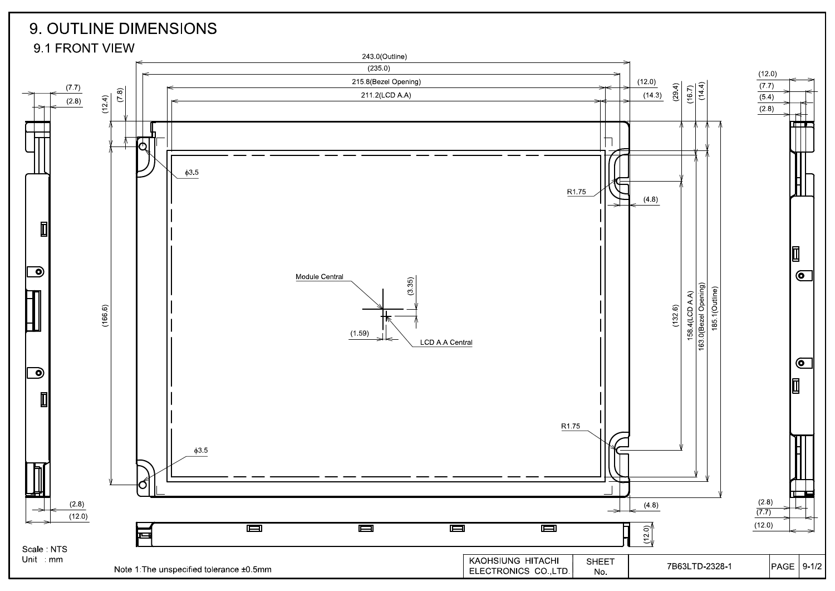